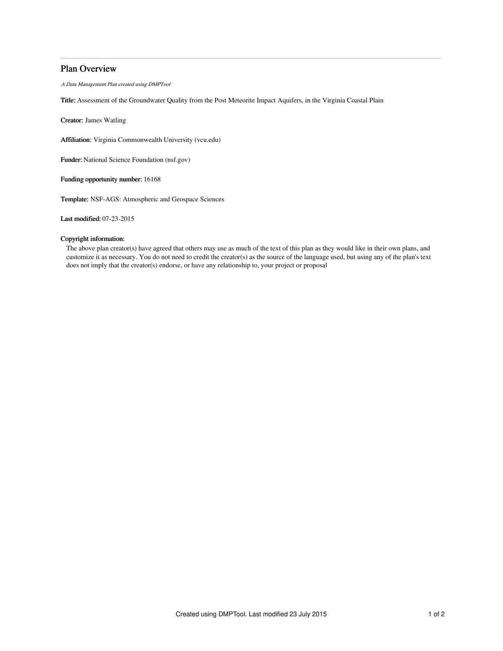# Plan Overview

A Data Management Plan created using DMPTool

Title: Assessment of the Groundwater Quality from the Post Meteorite Impact Aquifers, in the Virginia Coastal Plain

Creator: James Watling

Affiliation: Virginia Commonwealth University (vcu.edu)

Funder: National Science Foundation (nsf.gov)

Funding opportunity number: 16168

Template: NSF-AGS: Atmospheric and Geospace Sciences

Last modified: 07-23-2015

# Copyright information:

The above plan creator(s) have agreed that others may use as much of the text of this plan as they would like in their own plans, and customize it as necessary. You do not need to credit the creator(s) as the source of the language used, but using any of the plan's text does not imply that the creator(s) endorse, or have any relationship to, your project or proposal